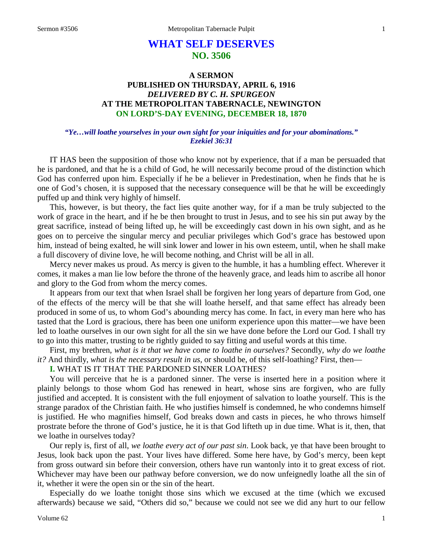# **WHAT SELF DESERVES NO. 3506**

## **A SERMON PUBLISHED ON THURSDAY, APRIL 6, 1916** *DELIVERED BY C. H. SPURGEON* **AT THE METROPOLITAN TABERNACLE, NEWINGTON ON LORD'S-DAY EVENING, DECEMBER 18, 1870**

#### *"Ye…will loathe yourselves in your own sight for your iniquities and for your abominations." Ezekiel 36:31*

IT HAS been the supposition of those who know not by experience, that if a man be persuaded that he is pardoned, and that he is a child of God, he will necessarily become proud of the distinction which God has conferred upon him. Especially if he be a believer in Predestination, when he finds that he is one of God's chosen, it is supposed that the necessary consequence will be that he will be exceedingly puffed up and think very highly of himself.

This, however, is but theory, the fact lies quite another way, for if a man be truly subjected to the work of grace in the heart, and if he be then brought to trust in Jesus, and to see his sin put away by the great sacrifice, instead of being lifted up, he will be exceedingly cast down in his own sight, and as he goes on to perceive the singular mercy and peculiar privileges which God's grace has bestowed upon him, instead of being exalted, he will sink lower and lower in his own esteem, until, when he shall make a full discovery of divine love, he will become nothing, and Christ will be all in all.

Mercy never makes us proud. As mercy is given to the humble, it has a humbling effect. Wherever it comes, it makes a man lie low before the throne of the heavenly grace, and leads him to ascribe all honor and glory to the God from whom the mercy comes.

It appears from our text that when Israel shall be forgiven her long years of departure from God, one of the effects of the mercy will be that she will loathe herself, and that same effect has already been produced in some of us, to whom God's abounding mercy has come. In fact, in every man here who has tasted that the Lord is gracious, there has been one uniform experience upon this matter—we have been led to loathe ourselves in our own sight for all the sin we have done before the Lord our God. I shall try to go into this matter, trusting to be rightly guided to say fitting and useful words at this time.

First, my brethren, *what is it that we have come to loathe in ourselves?* Secondly, *why do we loathe it?* And thirdly, *what is the necessary result in us,* or should be, of this self-loathing? First, then—

#### **I.** WHAT IS IT THAT THE PARDONED SINNER LOATHES?

You will perceive that he is a pardoned sinner. The verse is inserted here in a position where it plainly belongs to those whom God has renewed in heart, whose sins are forgiven, who are fully justified and accepted. It is consistent with the full enjoyment of salvation to loathe yourself. This is the strange paradox of the Christian faith. He who justifies himself is condemned, he who condemns himself is justified. He who magnifies himself, God breaks down and casts in pieces, he who throws himself prostrate before the throne of God's justice, he it is that God lifteth up in due time. What is it, then, that we loathe in ourselves today?

Our reply is, first of all, *we loathe every act of our past sin*. Look back, ye that have been brought to Jesus, look back upon the past. Your lives have differed. Some here have, by God's mercy, been kept from gross outward sin before their conversion, others have run wantonly into it to great excess of riot. Whichever may have been our pathway before conversion, we do now unfeignedly loathe all the sin of it, whether it were the open sin or the sin of the heart.

Especially do we loathe tonight those sins which we excused at the time (which we excused afterwards) because we said, "Others did so," because we could not see we did any hurt to our fellow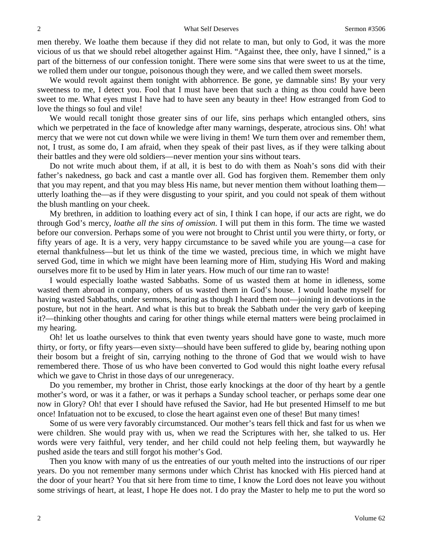men thereby. We loathe them because if they did not relate to man, but only to God, it was the more vicious of us that we should rebel altogether against Him. "Against thee, thee only, have I sinned," is a part of the bitterness of our confession tonight. There were some sins that were sweet to us at the time, we rolled them under our tongue, poisonous though they were, and we called them sweet morsels.

We would revolt against them tonight with abhorrence. Be gone, ye damnable sins! By your very sweetness to me, I detect you. Fool that I must have been that such a thing as thou could have been sweet to me. What eyes must I have had to have seen any beauty in thee! How estranged from God to love the things so foul and vile!

We would recall tonight those greater sins of our life, sins perhaps which entangled others, sins which we perpetrated in the face of knowledge after many warnings, desperate, atrocious sins. Oh! what mercy that we were not cut down while we were living in them! We turn them over and remember them, not, I trust, as some do, I am afraid, when they speak of their past lives, as if they were talking about their battles and they were old soldiers—never mention your sins without tears.

Do not write much about them, if at all, it is best to do with them as Noah's sons did with their father's nakedness, go back and cast a mantle over all. God has forgiven them. Remember them only that you may repent, and that you may bless His name, but never mention them without loathing them utterly loathing the—as if they were disgusting to your spirit, and you could not speak of them without the blush mantling on your cheek.

My brethren, in addition to loathing every act of sin, I think I can hope, if our acts are right, we do through God's mercy, *loathe all the sins of omission*. I will put them in this form. The time we wasted before our conversion. Perhaps some of you were not brought to Christ until you were thirty, or forty, or fifty years of age. It is a very, very happy circumstance to be saved while you are young—a case for eternal thankfulness—but let us think of the time we wasted, precious time, in which we might have served God, time in which we might have been learning more of Him, studying His Word and making ourselves more fit to be used by Him in later years. How much of our time ran to waste!

I would especially loathe wasted Sabbaths. Some of us wasted them at home in idleness, some wasted them abroad in company, others of us wasted them in God's house. I would loathe myself for having wasted Sabbaths, under sermons, hearing as though I heard them not—joining in devotions in the posture, but not in the heart. And what is this but to break the Sabbath under the very garb of keeping it?—thinking other thoughts and caring for other things while eternal matters were being proclaimed in my hearing.

Oh! let us loathe ourselves to think that even twenty years should have gone to waste, much more thirty, or forty, or fifty years—even sixty—should have been suffered to glide by, bearing nothing upon their bosom but a freight of sin, carrying nothing to the throne of God that we would wish to have remembered there. Those of us who have been converted to God would this night loathe every refusal which we gave to Christ in those days of our unregeneracy.

Do you remember, my brother in Christ, those early knockings at the door of thy heart by a gentle mother's word, or was it a father, or was it perhaps a Sunday school teacher, or perhaps some dear one now in Glory? Oh! that ever I should have refused the Savior, had He but presented Himself to me but once! Infatuation not to be excused, to close the heart against even one of these! But many times!

Some of us were very favorably circumstanced. Our mother's tears fell thick and fast for us when we were children. She would pray with us, when we read the Scriptures with her, she talked to us. Her words were very faithful, very tender, and her child could not help feeling them, but waywardly he pushed aside the tears and still forgot his mother's God.

Then you know with many of us the entreaties of our youth melted into the instructions of our riper years. Do you not remember many sermons under which Christ has knocked with His pierced hand at the door of your heart? You that sit here from time to time, I know the Lord does not leave you without some strivings of heart, at least, I hope He does not. I do pray the Master to help me to put the word so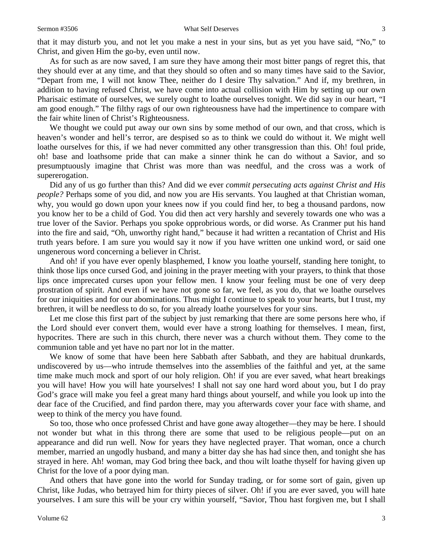that it may disturb you, and not let you make a nest in your sins, but as yet you have said, "No," to Christ, and given Him the go-by, even until now.

As for such as are now saved, I am sure they have among their most bitter pangs of regret this, that they should ever at any time, and that they should so often and so many times have said to the Savior, "Depart from me, I will not know Thee, neither do I desire Thy salvation." And if, my brethren, in addition to having refused Christ, we have come into actual collision with Him by setting up our own Pharisaic estimate of ourselves, we surely ought to loathe ourselves tonight. We did say in our heart, "I am good enough." The filthy rags of our own righteousness have had the impertinence to compare with the fair white linen of Christ's Righteousness.

We thought we could put away our own sins by some method of our own, and that cross, which is heaven's wonder and hell's terror, are despised so as to think we could do without it. We might well loathe ourselves for this, if we had never committed any other transgression than this. Oh! foul pride, oh! base and loathsome pride that can make a sinner think he can do without a Savior, and so presumptuously imagine that Christ was more than was needful, and the cross was a work of supererogation.

Did any of us go further than this? And did we ever *commit persecuting acts against Christ and His people?* Perhaps some of you did, and now you are His servants. You laughed at that Christian woman, why, you would go down upon your knees now if you could find her, to beg a thousand pardons, now you know her to be a child of God. You did then act very harshly and severely towards one who was a true lover of the Savior. Perhaps you spoke opprobrious words, or did worse. As Cranmer put his hand into the fire and said, "Oh, unworthy right hand," because it had written a recantation of Christ and His truth years before. I am sure you would say it now if you have written one unkind word, or said one ungenerous word concerning a believer in Christ.

And oh! if you have ever openly blasphemed, I know you loathe yourself, standing here tonight, to think those lips once cursed God, and joining in the prayer meeting with your prayers, to think that those lips once imprecated curses upon your fellow men. I know your feeling must be one of very deep prostration of spirit. And even if we have not gone so far, we feel, as you do, that we loathe ourselves for our iniquities and for our abominations. Thus might I continue to speak to your hearts, but I trust, my brethren, it will be needless to do so, for you already loathe yourselves for your sins.

Let me close this first part of the subject by just remarking that there are some persons here who, if the Lord should ever convert them, would ever have a strong loathing for themselves. I mean, first, hypocrites. There are such in this church, there never was a church without them. They come to the communion table and yet have no part nor lot in the matter.

We know of some that have been here Sabbath after Sabbath, and they are habitual drunkards, undiscovered by us—who intrude themselves into the assemblies of the faithful and yet, at the same time make much mock and sport of our holy religion. Oh! if you are ever saved, what heart breakings you will have! How you will hate yourselves! I shall not say one hard word about you, but I do pray God's grace will make you feel a great many hard things about yourself, and while you look up into the dear face of the Crucified, and find pardon there, may you afterwards cover your face with shame, and weep to think of the mercy you have found.

So too, those who once professed Christ and have gone away altogether—they may be here. I should not wonder but what in this throng there are some that used to be religious people—put on an appearance and did run well. Now for years they have neglected prayer. That woman, once a church member, married an ungodly husband, and many a bitter day she has had since then, and tonight she has strayed in here. Ah! woman, may God bring thee back, and thou wilt loathe thyself for having given up Christ for the love of a poor dying man.

And others that have gone into the world for Sunday trading, or for some sort of gain, given up Christ, like Judas, who betrayed him for thirty pieces of silver. Oh! if you are ever saved, you will hate yourselves. I am sure this will be your cry within yourself, "Savior, Thou hast forgiven me, but I shall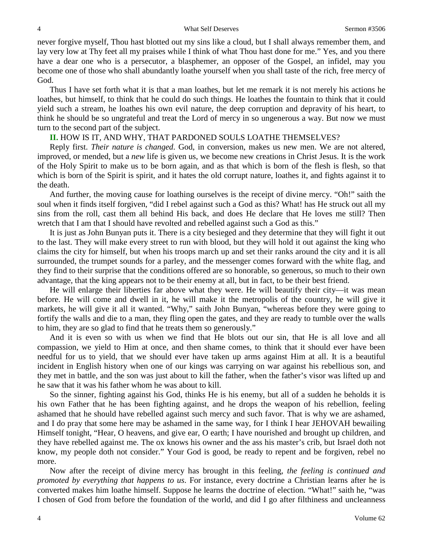never forgive myself, Thou hast blotted out my sins like a cloud, but I shall always remember them, and lay very low at Thy feet all my praises while I think of what Thou hast done for me." Yes, and you there have a dear one who is a persecutor, a blasphemer, an opposer of the Gospel, an infidel, may you become one of those who shall abundantly loathe yourself when you shall taste of the rich, free mercy of God.

Thus I have set forth what it is that a man loathes, but let me remark it is not merely his actions he loathes, but himself, to think that he could do such things. He loathes the fountain to think that it could yield such a stream, he loathes his own evil nature, the deep corruption and depravity of his heart, to think he should be so ungrateful and treat the Lord of mercy in so ungenerous a way. But now we must turn to the second part of the subject.

#### **II.** HOW IS IT, AND WHY, THAT PARDONED SOULS LOATHE THEMSELVES?

Reply first. *Their nature is changed*. God, in conversion, makes us new men. We are not altered, improved, or mended, but a *new* life is given us, we become new creations in Christ Jesus. It is the work of the Holy Spirit to make us to be born again, and as that which is born of the flesh is flesh, so that which is born of the Spirit is spirit, and it hates the old corrupt nature, loathes it, and fights against it to the death.

And further, the moving cause for loathing ourselves is the receipt of divine mercy. "Oh!" saith the soul when it finds itself forgiven, "did I rebel against such a God as this? What! has He struck out all my sins from the roll, cast them all behind His back, and does He declare that He loves me still? Then wretch that I am that I should have revolted and rebelled against such a God as this."

It is just as John Bunyan puts it. There is a city besieged and they determine that they will fight it out to the last. They will make every street to run with blood, but they will hold it out against the king who claims the city for himself, but when his troops march up and set their ranks around the city and it is all surrounded, the trumpet sounds for a parley, and the messenger comes forward with the white flag, and they find to their surprise that the conditions offered are so honorable, so generous, so much to their own advantage, that the king appears not to be their enemy at all, but in fact, to be their best friend.

He will enlarge their liberties far above what they were. He will beautify their city—it was mean before. He will come and dwell in it, he will make it the metropolis of the country, he will give it markets, he will give it all it wanted. "Why," saith John Bunyan, "whereas before they were going to fortify the walls and die to a man, they fling open the gates, and they are ready to tumble over the walls to him, they are so glad to find that he treats them so generously."

And it is even so with us when we find that He blots out our sin, that He is all love and all compassion, we yield to Him at once, and then shame comes, to think that it should ever have been needful for us to yield, that we should ever have taken up arms against Him at all. It is a beautiful incident in English history when one of our kings was carrying on war against his rebellious son, and they met in battle, and the son was just about to kill the father, when the father's visor was lifted up and he saw that it was his father whom he was about to kill.

So the sinner, fighting against his God, thinks He is his enemy, but all of a sudden he beholds it is his own Father that he has been fighting against, and he drops the weapon of his rebellion, feeling ashamed that he should have rebelled against such mercy and such favor. That is why we are ashamed, and I do pray that some here may be ashamed in the same way, for I think I hear JEHOVAH bewailing Himself tonight, "Hear, O heavens, and give ear, O earth; I have nourished and brought up children, and they have rebelled against me. The ox knows his owner and the ass his master's crib, but Israel doth not know, my people doth not consider." Your God is good, be ready to repent and be forgiven, rebel no more.

Now after the receipt of divine mercy has brought in this feeling, *the feeling is continued and promoted by everything that happens to us*. For instance, every doctrine a Christian learns after he is converted makes him loathe himself. Suppose he learns the doctrine of election. "What!" saith he, "was I chosen of God from before the foundation of the world, and did I go after filthiness and uncleanness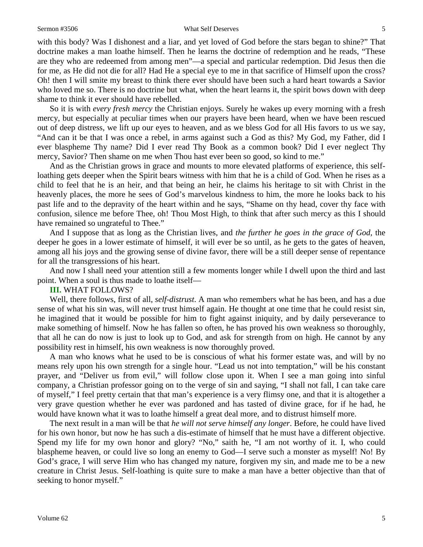#### Sermon #3506 What Self Deserves 5

with this body? Was I dishonest and a liar, and yet loved of God before the stars began to shine?" That doctrine makes a man loathe himself. Then he learns the doctrine of redemption and he reads, "These are they who are redeemed from among men"—a special and particular redemption. Did Jesus then die for me, as He did not die for all? Had He a special eye to me in that sacrifice of Himself upon the cross? Oh! then I will smite my breast to think there ever should have been such a hard heart towards a Savior who loved me so. There is no doctrine but what, when the heart learns it, the spirit bows down with deep shame to think it ever should have rebelled.

So it is with *every fresh mercy* the Christian enjoys. Surely he wakes up every morning with a fresh mercy, but especially at peculiar times when our prayers have been heard, when we have been rescued out of deep distress, we lift up our eyes to heaven, and as we bless God for all His favors to us we say, "And can it be that I was once a rebel, in arms against such a God as this? My God, my Father, did I ever blaspheme Thy name? Did I ever read Thy Book as a common book? Did I ever neglect Thy mercy, Savior? Then shame on me when Thou hast ever been so good, so kind to me."

And as the Christian grows in grace and mounts to more elevated platforms of experience, this selfloathing gets deeper when the Spirit bears witness with him that he is a child of God. When he rises as a child to feel that he is an heir, and that being an heir, he claims his heritage to sit with Christ in the heavenly places, the more he sees of God's marvelous kindness to him, the more he looks back to his past life and to the depravity of the heart within and he says, "Shame on thy head, cover thy face with confusion, silence me before Thee, oh! Thou Most High, to think that after such mercy as this I should have remained so ungrateful to Thee."

And I suppose that as long as the Christian lives, and *the further he goes in the grace of God,* the deeper he goes in a lower estimate of himself, it will ever be so until, as he gets to the gates of heaven, among all his joys and the growing sense of divine favor, there will be a still deeper sense of repentance for all the transgressions of his heart.

And now I shall need your attention still a few moments longer while I dwell upon the third and last point. When a soul is thus made to loathe itself—

#### **III.** WHAT FOLLOWS?

Well, there follows, first of all, *self-distrust*. A man who remembers what he has been, and has a due sense of what his sin was, will never trust himself again. He thought at one time that he could resist sin, he imagined that it would be possible for him to fight against iniquity, and by daily perseverance to make something of himself. Now he has fallen so often, he has proved his own weakness so thoroughly, that all he can do now is just to look up to God, and ask for strength from on high. He cannot by any possibility rest in himself, his own weakness is now thoroughly proved.

A man who knows what he used to be is conscious of what his former estate was, and will by no means rely upon his own strength for a single hour. "Lead us not into temptation," will be his constant prayer, and "Deliver us from evil," will follow close upon it. When I see a man going into sinful company, a Christian professor going on to the verge of sin and saying, "I shall not fall, I can take care of myself," I feel pretty certain that that man's experience is a very flimsy one, and that it is altogether a very grave question whether he ever was pardoned and has tasted of divine grace, for if he had, he would have known what it was to loathe himself a great deal more, and to distrust himself more.

The next result in a man will be that *he will not serve himself any longer*. Before, he could have lived for his own honor, but now he has such a dis-estimate of himself that he must have a different objective. Spend my life for my own honor and glory? "No," saith he, "I am not worthy of it. I, who could blaspheme heaven, or could live so long an enemy to God—I serve such a monster as myself! No! By God's grace, I will serve Him who has changed my nature, forgiven my sin, and made me to be a new creature in Christ Jesus. Self-loathing is quite sure to make a man have a better objective than that of seeking to honor myself."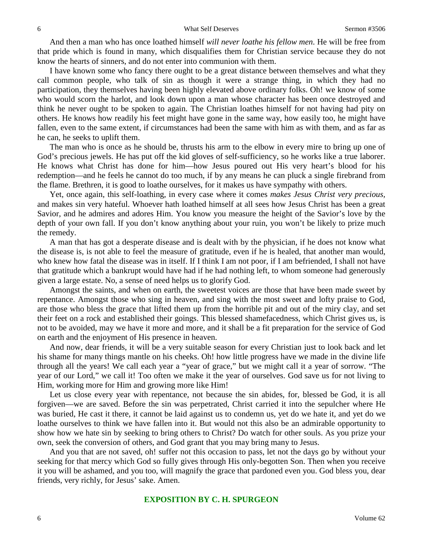And then a man who has once loathed himself *will never loathe his fellow men*. He will be free from that pride which is found in many, which disqualifies them for Christian service because they do not know the hearts of sinners, and do not enter into communion with them.

I have known some who fancy there ought to be a great distance between themselves and what they call common people, who talk of sin as though it were a strange thing, in which they had no participation, they themselves having been highly elevated above ordinary folks. Oh! we know of some who would scorn the harlot, and look down upon a man whose character has been once destroyed and think he never ought to be spoken to again. The Christian loathes himself for not having had pity on others. He knows how readily his feet might have gone in the same way, how easily too, he might have fallen, even to the same extent, if circumstances had been the same with him as with them, and as far as he can, he seeks to uplift them.

The man who is once as he should be, thrusts his arm to the elbow in every mire to bring up one of God's precious jewels. He has put off the kid gloves of self-sufficiency, so he works like a true laborer. He knows what Christ has done for him—how Jesus poured out His very heart's blood for his redemption—and he feels he cannot do too much, if by any means he can pluck a single firebrand from the flame. Brethren, it is good to loathe ourselves, for it makes us have sympathy with others.

Yet, once again, this self-loathing, in every case where it comes *makes Jesus Christ very precious,* and makes sin very hateful. Whoever hath loathed himself at all sees how Jesus Christ has been a great Savior, and he admires and adores Him. You know you measure the height of the Savior's love by the depth of your own fall. If you don't know anything about your ruin, you won't be likely to prize much the remedy.

A man that has got a desperate disease and is dealt with by the physician, if he does not know what the disease is, is not able to feel the measure of gratitude, even if he is healed, that another man would, who knew how fatal the disease was in itself. If I think I am not poor, if I am befriended, I shall not have that gratitude which a bankrupt would have had if he had nothing left, to whom someone had generously given a large estate. No, a sense of need helps us to glorify God.

Amongst the saints, and when on earth, the sweetest voices are those that have been made sweet by repentance. Amongst those who sing in heaven, and sing with the most sweet and lofty praise to God, are those who bless the grace that lifted them up from the horrible pit and out of the miry clay, and set their feet on a rock and established their goings. This blessed shamefacedness, which Christ gives us, is not to be avoided, may we have it more and more, and it shall be a fit preparation for the service of God on earth and the enjoyment of His presence in heaven.

And now, dear friends, it will be a very suitable season for every Christian just to look back and let his shame for many things mantle on his cheeks. Oh! how little progress have we made in the divine life through all the years! We call each year a "year of grace," but we might call it a year of sorrow. "The year of our Lord," we call it! Too often we make it the year of ourselves. God save us for not living to Him, working more for Him and growing more like Him!

Let us close every year with repentance, not because the sin abides, for, blessed be God, it is all forgiven—we are saved. Before the sin was perpetrated, Christ carried it into the sepulcher where He was buried, He cast it there, it cannot be laid against us to condemn us, yet do we hate it, and yet do we loathe ourselves to think we have fallen into it. But would not this also be an admirable opportunity to show how we hate sin by seeking to bring others to Christ? Do watch for other souls. As you prize your own, seek the conversion of others, and God grant that you may bring many to Jesus.

And you that are not saved, oh! suffer not this occasion to pass, let not the days go by without your seeking for that mercy which God so fully gives through His only-begotten Son. Then when you receive it you will be ashamed, and you too, will magnify the grace that pardoned even you. God bless you, dear friends, very richly, for Jesus' sake. Amen.

#### **EXPOSITION BY C. H. SPURGEON**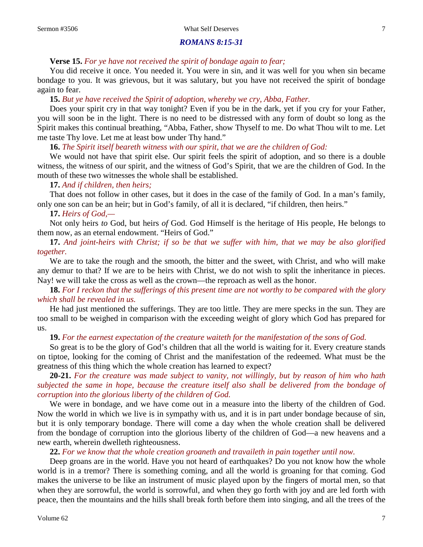## *ROMANS 8:15-31*

#### **Verse 15.** *For ye have not received the spirit of bondage again to fear;*

You did receive it once. You needed it. You were in sin, and it was well for you when sin became bondage to you. It was grievous, but it was salutary, but you have not received the spirit of bondage again to fear.

#### **15.** *But ye have received the Spirit of adoption, whereby we cry, Abba, Father.*

Does your spirit cry in that way tonight? Even if you be in the dark, yet if you cry for your Father, you will soon be in the light. There is no need to be distressed with any form of doubt so long as the Spirit makes this continual breathing, "Abba, Father, show Thyself to me. Do what Thou wilt to me. Let me taste Thy love. Let me at least bow under Thy hand."

**16.** *The Spirit itself beareth witness with our spirit, that we are the children of God:*

We would not have that spirit else. Our spirit feels the spirit of adoption, and so there is a double witness, the witness of our spirit, and the witness of God's Spirit, that we are the children of God. In the mouth of these two witnesses the whole shall be established.

### **17.** *And if children, then heirs;*

That does not follow in other cases, but it does in the case of the family of God. In a man's family, only one son can be an heir; but in God's family, of all it is declared, "if children, then heirs."

### **17.** *Heirs of God,—*

Not only heirs *to* God, but heirs *of* God. God Himself is the heritage of His people, He belongs to them now, as an eternal endowment. "Heirs of God."

**17.** *And joint-heirs with Christ; if so be that we suffer with him, that we may be also glorified together.* 

We are to take the rough and the smooth, the bitter and the sweet, with Christ, and who will make any demur to that? If we are to be heirs with Christ, we do not wish to split the inheritance in pieces. Nay! we will take the cross as well as the crown—the reproach as well as the honor.

### **18.** *For I reckon that the sufferings of this present time are not worthy to be compared with the glory which shall be revealed in us.*

He had just mentioned the sufferings. They are too little. They are mere specks in the sun. They are too small to be weighed in comparison with the exceeding weight of glory which God has prepared for us.

**19.** *For the earnest expectation of the creature waiteth for the manifestation of the sons of God.*

So great is to be the glory of God's children that all the world is waiting for it. Every creature stands on tiptoe, looking for the coming of Christ and the manifestation of the redeemed. What must be the greatness of this thing which the whole creation has learned to expect?

**20-21.** *For the creature was made subject to vanity, not willingly, but by reason of him who hath subjected the same in hope, because the creature itself also shall be delivered from the bondage of corruption into the glorious liberty of the children of God.* 

We were in bondage, and we have come out in a measure into the liberty of the children of God. Now the world in which we live is in sympathy with us, and it is in part under bondage because of sin, but it is only temporary bondage. There will come a day when the whole creation shall be delivered from the bondage of corruption into the glorious liberty of the children of God—a new heavens and a new earth, wherein dwelleth righteousness.

**22.** *For we know that the whole creation groaneth and travaileth in pain together until now.* 

Deep groans are in the world. Have you not heard of earthquakes? Do you not know how the whole world is in a tremor? There is something coming, and all the world is groaning for that coming. God makes the universe to be like an instrument of music played upon by the fingers of mortal men, so that when they are sorrowful, the world is sorrowful, and when they go forth with joy and are led forth with peace, then the mountains and the hills shall break forth before them into singing, and all the trees of the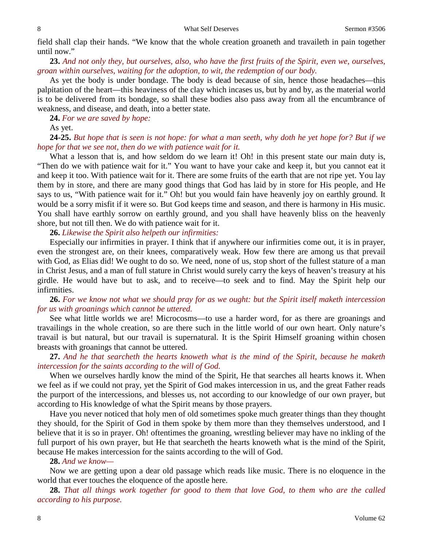field shall clap their hands. "We know that the whole creation groaneth and travaileth in pain together until now."

**23.** *And not only they, but ourselves, also, who have the first fruits of the Spirit, even we, ourselves, groan within ourselves, waiting for the adoption, to wit, the redemption of our body.* 

As yet the body is under bondage. The body is dead because of sin, hence those headaches—this palpitation of the heart—this heaviness of the clay which incases us, but by and by, as the material world is to be delivered from its bondage, so shall these bodies also pass away from all the encumbrance of weakness, and disease, and death, into a better state.

**24.** *For we are saved by hope:* 

As yet.

#### **24-25.** *But hope that is seen is not hope: for what a man seeth, why doth he yet hope for? But if we hope for that we see not, then do we with patience wait for it.*

What a lesson that is, and how seldom do we learn it! Oh! in this present state our main duty is, "Then do we with patience wait for it." You want to have your cake and keep it, but you cannot eat it and keep it too. With patience wait for it. There are some fruits of the earth that are not ripe yet. You lay them by in store, and there are many good things that God has laid by in store for His people, and He says to us, "With patience wait for it." Oh! but you would fain have heavenly joy on earthly ground. It would be a sorry misfit if it were so. But God keeps time and season, and there is harmony in His music. You shall have earthly sorrow on earthly ground, and you shall have heavenly bliss on the heavenly shore, but not till then. We do with patience wait for it.

**26.** *Likewise the Spirit also helpeth our infirmities:*

Especially our infirmities in prayer. I think that if anywhere our infirmities come out, it is in prayer, even the strongest are, on their knees, comparatively weak. How few there are among us that prevail with God, as Elias did! We ought to do so. We need, none of us, stop short of the fullest stature of a man in Christ Jesus, and a man of full stature in Christ would surely carry the keys of heaven's treasury at his girdle. He would have but to ask, and to receive—to seek and to find. May the Spirit help our infirmities.

**26.** *For we know not what we should pray for as we ought: but the Spirit itself maketh intercession for us with groanings which cannot be uttered.* 

See what little worlds we are! Microcosms—to use a harder word, for as there are groanings and travailings in the whole creation, so are there such in the little world of our own heart. Only nature's travail is but natural, but our travail is supernatural. It is the Spirit Himself groaning within chosen breasts with groanings that cannot be uttered.

#### **27.** *And he that searcheth the hearts knoweth what is the mind of the Spirit, because he maketh intercession for the saints according to the will of God.*

When we ourselves hardly know the mind of the Spirit, He that searches all hearts knows it. When we feel as if we could not pray, yet the Spirit of God makes intercession in us, and the great Father reads the purport of the intercessions, and blesses us, not according to our knowledge of our own prayer, but according to His knowledge of what the Spirit means by those prayers.

Have you never noticed that holy men of old sometimes spoke much greater things than they thought they should, for the Spirit of God in them spoke by them more than they themselves understood, and I believe that it is so in prayer. Oh! oftentimes the groaning, wrestling believer may have no inkling of the full purport of his own prayer, but He that searcheth the hearts knoweth what is the mind of the Spirit, because He makes intercession for the saints according to the will of God.

#### **28.** *And we know—*

Now we are getting upon a dear old passage which reads like music. There is no eloquence in the world that ever touches the eloquence of the apostle here.

**28.** *That all things work together for good to them that love God, to them who are the called according to his purpose.*